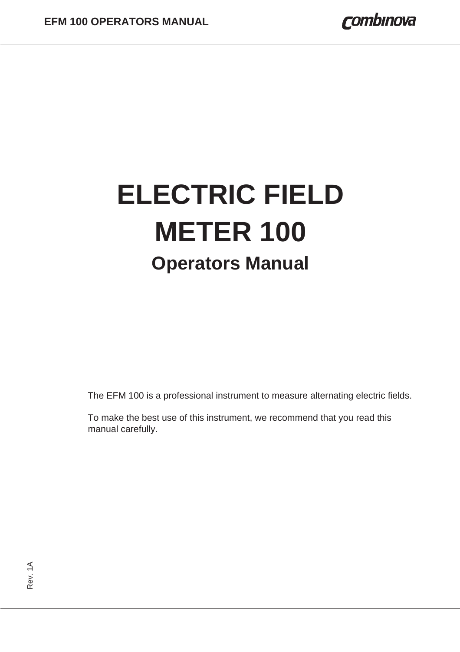# **ELECTRIC FIELD METER 100 Operators Manual**

The EFM 100 is a professional instrument to measure alternating electric fields.

To make the best use of this instrument, we recommend that you read this manual carefully.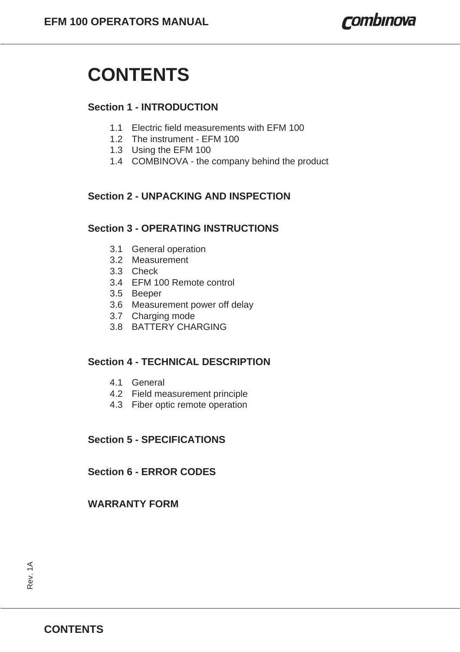# **CONTENTS**

#### **Section 1 - INTRODUCTION**

- 1.1 Electric field measurements with EFM 100
- 1.2 The instrument EFM 100
- 1.3 Using the EFM 100
- 1.4 COMBINOVA the company behind the product

## **Section 2 - UNPACKING AND INSPECTION**

#### **Section 3 - OPERATING INSTRUCTIONS**

- 3.1 General operation
- 3.2 Measurement
- 3.3 Check
- 3.4 EFM 100 Remote control
- 3.5 Beeper
- 3.6 Measurement power off delay
- 3.7 Charging mode
- 3.8 BATTERY CHARGING

#### **Section 4 - TECHNICAL DESCRIPTION**

- 4.1 General
- 4.2 Field measurement principle
- 4.3 Fiber optic remote operation

### **Section 5 - SPECIFICATIONS**

**Section 6 - ERROR CODES**

#### **WARRANTY FORM**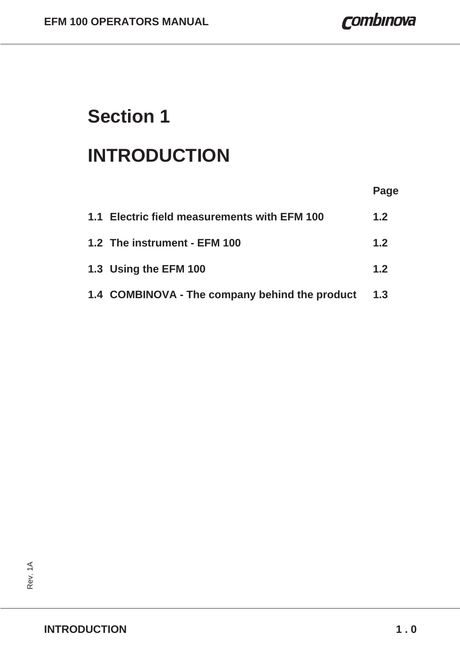# **Section 1**

# **INTRODUCTION**

|                                                | Page |
|------------------------------------------------|------|
| 1.1 Electric field measurements with EFM 100   | 1.2  |
| 1.2 The instrument - EFM 100                   | 1.2  |
| 1.3 Using the EFM 100                          | 1.2  |
| 1.4 COMBINOVA - The company behind the product | 1.3  |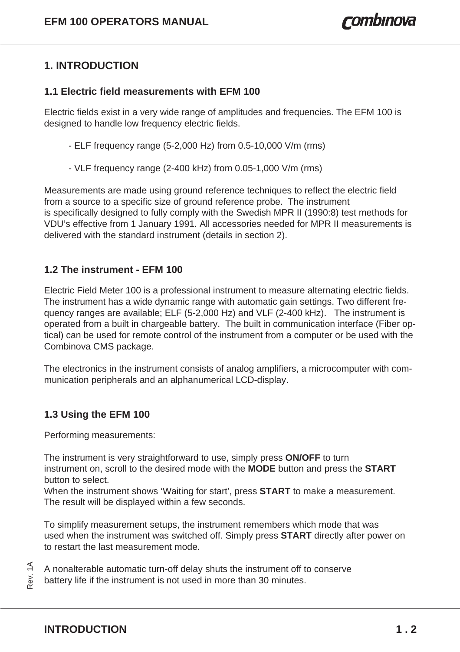# **1. INTRODUCTION**

#### **1.1 Electric field measurements with EFM 100**

Electric fields exist in a very wide range of amplitudes and frequencies. The EFM 100 is designed to handle low frequency electric fields.

- ELF frequency range (5-2,000 Hz) from 0.5-10,000 V/m (rms)
- VLF frequency range (2-400 kHz) from 0.05-1,000 V/m (rms)

Measurements are made using ground reference techniques to reflect the electric field from a source to a specific size of ground reference probe. The instrument is specifically designed to fully comply with the Swedish MPR II (1990:8) test methods for VDU's effective from 1 January 1991. All accessories needed for MPR II measurements is delivered with the standard instrument (details in section 2).

#### **1.2 The instrument - EFM 100**

Electric Field Meter 100 is a professional instrument to measure alternating electric fields. The instrument has a wide dynamic range with automatic gain settings. Two different frequency ranges are available; ELF (5-2,000 Hz) and VLF (2-400 kHz). The instrument is operated from a built in chargeable battery. The built in communication interface (Fiber optical) can be used for remote control of the instrument from a computer or be used with the Combinova CMS package.

The electronics in the instrument consists of analog amplifiers, a microcomputer with communication peripherals and an alphanumerical LCD-display.

### **1.3 Using the EFM 100**

Performing measurements:

The instrument is very straightforward to use, simply press **ON/OFF** to turn instrument on, scroll to the desired mode with the **MODE** button and press the **START** button to select.

When the instrument shows 'Waiting for start', press **START** to make a measurement. The result will be displayed within a few seconds.

To simplify measurement setups, the instrument remembers which mode that was used when the instrument was switched off. Simply press **START** directly after power on to restart the last measurement mode.

A nonalterable automatic turn-off delay shuts the instrument off to conserve battery life if the instrument is not used in more than 30 minutes.

Rev. 1A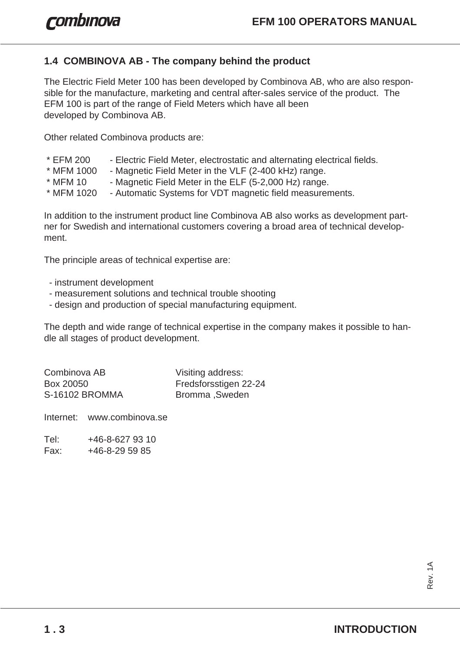## **1.4 COMBINOVA AB - The company behind the product**

The Electric Field Meter 100 has been developed by Combinova AB, who are also responsible for the manufacture, marketing and central after-sales service of the product. The EFM 100 is part of the range of Field Meters which have all been developed by Combinova AB.

Other related Combinova products are:

- \* EFM 200 Electric Field Meter, electrostatic and alternating electrical fields.
- \* MFM 1000 Magnetic Field Meter in the VLF (2-400 kHz) range.
- \* MFM 10 Magnetic Field Meter in the ELF (5-2,000 Hz) range.
- \* MFM 1020 Automatic Systems for VDT magnetic field measurements.

In addition to the instrument product line Combinova AB also works as development partner for Swedish and international customers covering a broad area of technical development.

The principle areas of technical expertise are:

- instrument development
- measurement solutions and technical trouble shooting
- design and production of special manufacturing equipment.

The depth and wide range of technical expertise in the company makes it possible to handle all stages of product development.

| Combinova AB   | Visiting address:     |
|----------------|-----------------------|
| Box 20050      | Fredsforsstigen 22-24 |
| S-16102 BROMMA | Bromma, Sweden        |

Internet: www.combinova.se

Tel: +46-8-627 93 10 Fax: +46-8-29 59 85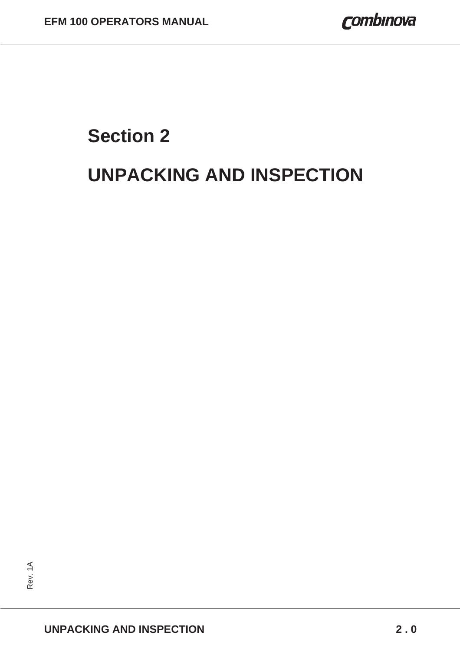# **Section 2 UNPACKING AND INSPECTION**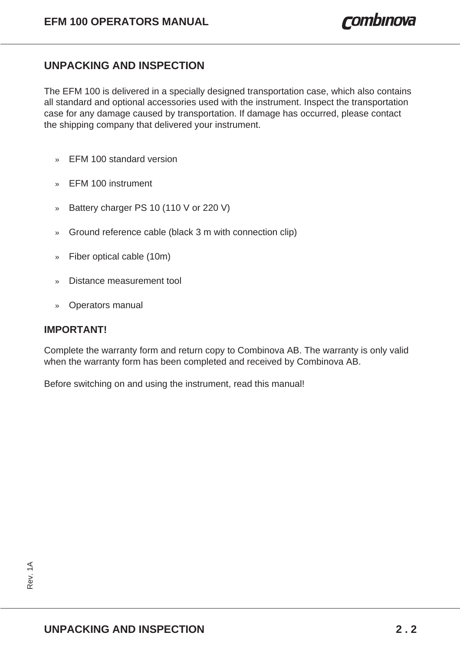## **UNPACKING AND INSPECTION**

The EFM 100 is delivered in a specially designed transportation case, which also contains all standard and optional accessories used with the instrument. Inspect the transportation case for any damage caused by transportation. If damage has occurred, please contact the shipping company that delivered your instrument.

- » EFM 100 standard version
- » EFM 100 instrument
- » Battery charger PS 10 (110 V or 220 V)
- » Ground reference cable (black 3 m with connection clip)
- » Fiber optical cable (10m)
- » Distance measurement tool
- » Operators manual

#### **IMPORTANT!**

Complete the warranty form and return copy to Combinova AB. The warranty is only valid when the warranty form has been completed and received by Combinova AB.

Before switching on and using the instrument, read this manual!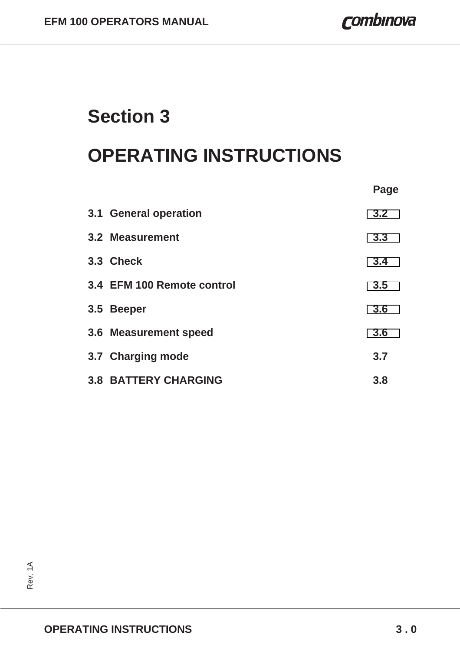# **Section 3**

# **OPERATING INSTRUCTIONS**

|                             | Page |
|-----------------------------|------|
| 3.1 General operation       | 3.2  |
| 3.2 Measurement             | 3.3  |
| 3.3 Check                   | 3.4  |
| 3.4 EFM 100 Remote control  | 3.5  |
| 3.5 Beeper                  | 3.6  |
| 3.6 Measurement speed       | 3.6  |
| 3.7 Charging mode           | 3.7  |
| <b>3.8 BATTERY CHARGING</b> | 3.8  |

Rev. 1A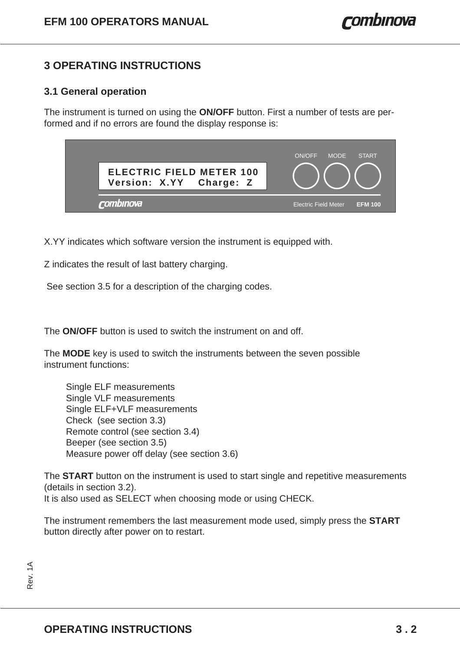# <span id="page-14-0"></span>**3 OPERATING INSTRUCTIONS**

#### **3.1 General operation**

The instrument is turned on using the **ON/OFF** button. First a number of tests are performed and if no errors are found the display response is:

| <b>ELECTRIC FIELD METER 100</b><br>Version: X.YY Charge: Z | <b>START</b><br>ON/OFF<br><b>MODE</b>         |
|------------------------------------------------------------|-----------------------------------------------|
| <i>rombinova'</i>                                          | <b>Electric Field Meter</b><br><b>EFM 100</b> |

X.YY indicates which software version the instrument is equipped with.

Z indicates the result of last battery charging.

See section 3.5 for a description of the charging codes.

The **ON/OFF** button is used to switch the instrument on and off.

The **MODE** key is used to switch the instruments between the seven possible instrument functions:

Single ELF measurements Single VLF measurements Single ELF+VLF measurements Check (see section 3.3) Remote control (see section 3.4) Beeper (see section 3.5) Measure power off delay (see section 3.6)

The **START** button on the instrument is used to start single and repetitive measurements (details in section 3.2). It is also used as SELECT when choosing mode or using CHECK.

The instrument remembers the last measurement mode used, simply press the **START** button directly after power on to restart.

Rev. 1A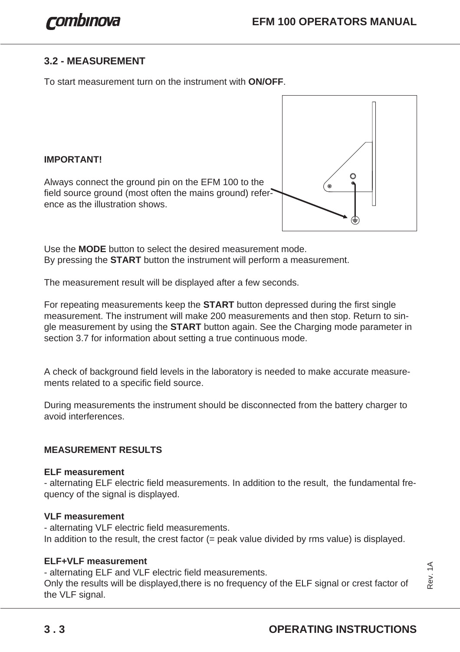### <span id="page-15-0"></span>**3.2 - MEASUREMENT**

To start measurement turn on the instrument with **ON/OFF**.

**IMPORTANT!**

Always connect the ground pin on the EFM 100 to the field source ground (most often the mains ground) reference as the illustration shows.



Use the **MODE** button to select the desired measurement mode. By pressing the **START** button the instrument will perform a measurement.

The measurement result will be displayed after a few seconds.

For repeating measurements keep the **START** button depressed during the first single measurement. The instrument will make 200 measurements and then stop. Return to single measurement by using the **START** button again. See the Charging mode parameter in section 3.7 for information about setting a true continuous mode.

A check of background field levels in the laboratory is needed to make accurate measurements related to a specific field source.

During measurements the instrument should be disconnected from the battery charger to avoid interferences.

#### **MEASUREMENT RESULTS**

#### **ELF measurement**

- alternating ELF electric field measurements. In addition to the result, the fundamental frequency of the signal is displayed.

#### **VLF measurement**

- alternating VLF electric field measurements. In addition to the result, the crest factor (= peak value divided by rms value) is displayed.

#### **ELF+VLF measurement**

- alternating ELF and VLF electric field measurements.

Only the results will be displayed,there is no frequency of the ELF signal or crest factor of the VLF signal.

Rev. 1A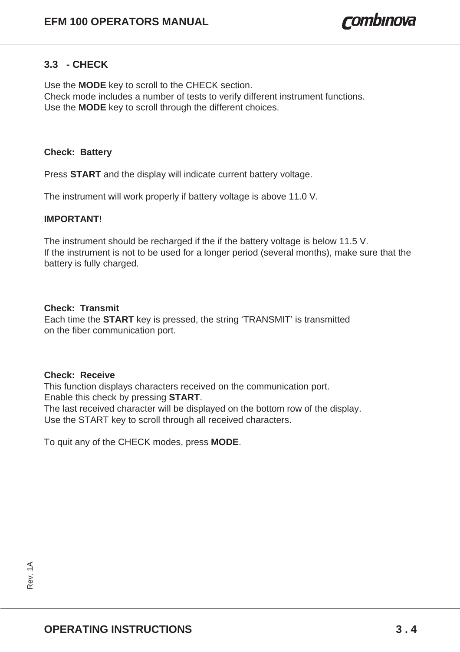#### <span id="page-16-0"></span>**3.3 - CHECK**

Use the **MODE** key to scroll to the CHECK section. Check mode includes a number of tests to verify different instrument functions. Use the **MODE** key to scroll through the different choices.

#### **Check: Battery**

Press **START** and the display will indicate current battery voltage.

The instrument will work properly if battery voltage is above 11.0 V.

#### **IMPORTANT!**

The instrument should be recharged if the if the battery voltage is below 11.5 V. If the instrument is not to be used for a longer period (several months), make sure that the battery is fully charged.

#### **Check: Transmit**

Each time the **START** key is pressed, the string 'TRANSMIT' is transmitted on the fiber communication port.

#### **Check: Receive**

This function displays characters received on the communication port. Enable this check by pressing **START**.

The last received character will be displayed on the bottom row of the display. Use the START key to scroll through all received characters.

To quit any of the CHECK modes, press **MODE**.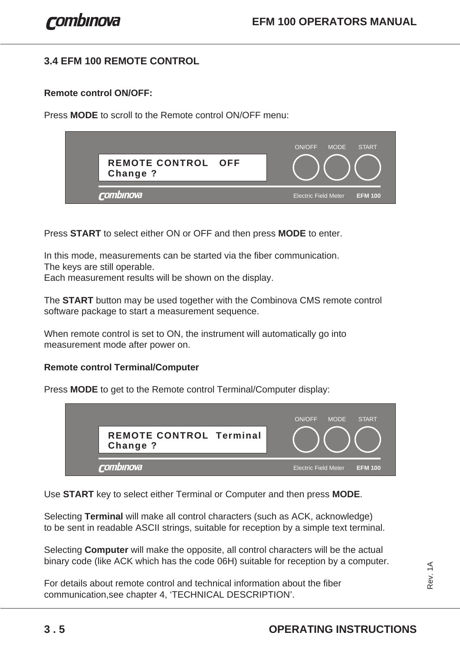# <span id="page-17-0"></span>**3.4 EFM 100 REMOTE CONTROL**

#### **Remote control ON/OFF:**

Press **MODE** to scroll to the Remote control ON/OFF menu:

| <b>REMOTE CONTROL OFF</b><br>Change ? | <b>START</b><br><b>MODE</b><br>ON/OFF         |
|---------------------------------------|-----------------------------------------------|
| rombinova                             | <b>Electric Field Meter</b><br><b>EFM 100</b> |

Press **START** to select either ON or OFF and then press **MODE** to enter.

In this mode, measurements can be started via the fiber communication. The keys are still operable.

Each measurement results will be shown on the display.

The **START** button may be used together with the Combinova CMS remote control software package to start a measurement sequence.

When remote control is set to ON, the instrument will automatically go into measurement mode after power on.

#### **Remote control Terminal/Computer**

Press **MODE** to get to the Remote control Terminal/Computer display:



Use **START** key to select either Terminal or Computer and then press **MODE**.

Selecting **Terminal** will make all control characters (such as ACK, acknowledge) to be sent in readable ASCII strings, suitable for reception by a simple text terminal.

Selecting **Computer** will make the opposite, all control characters will be the actual binary code (like ACK which has the code 06H) suitable for reception by a computer.

For details about remote control and technical information about the fiber communication,see chapter 4, 'TECHNICAL DESCRIPTION'.

Rev. 1A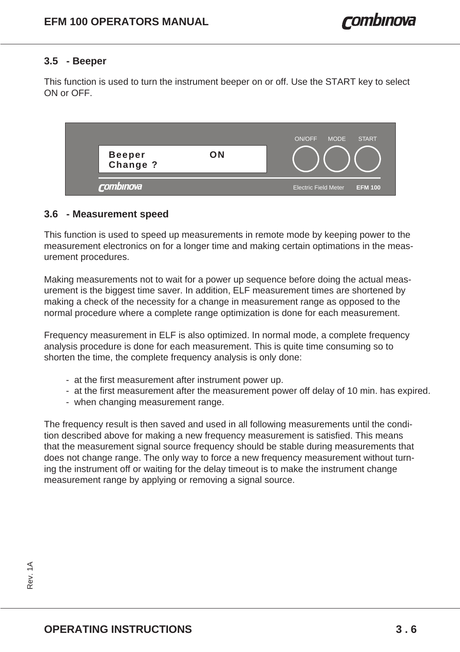#### <span id="page-18-0"></span>**3.5 - Beeper**

This function is used to turn the instrument beeper on or off. Use the START key to select ON or OFF.



#### **3.6 - Measurement speed**

This function is used to speed up measurements in remote mode by keeping power to the measurement electronics on for a longer time and making certain optimations in the measurement procedures.

Making measurements not to wait for a power up sequence before doing the actual measurement is the biggest time saver. In addition, ELF measurement times are shortened by making a check of the necessity for a change in measurement range as opposed to the normal procedure where a complete range optimization is done for each measurement.

Frequency measurement in ELF is also optimized. In normal mode, a complete frequency analysis procedure is done for each measurement. This is quite time consuming so to shorten the time, the complete frequency analysis is only done:

- at the first measurement after instrument power up.
- at the first measurement after the measurement power off delay of 10 min. has expired.
- when changing measurement range.

The frequency result is then saved and used in all following measurements until the condition described above for making a new frequency measurement is satisfied. This means that the measurement signal source frequency should be stable during measurements that does not change range. The only way to force a new frequency measurement without turning the instrument off or waiting for the delay timeout is to make the instrument change measurement range by applying or removing a signal source.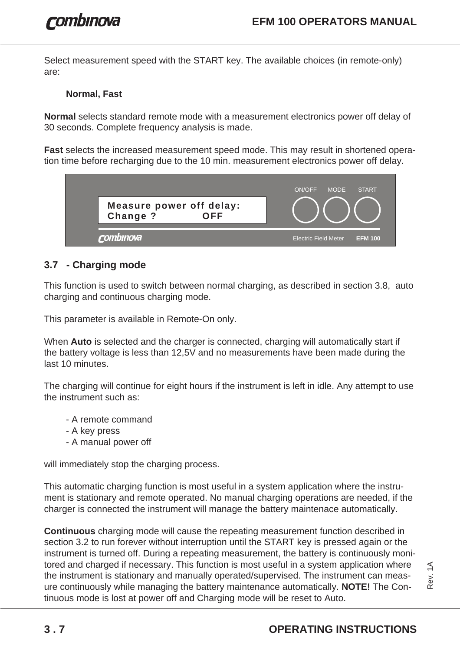Select measurement speed with the START key. The available choices (in remote-only) are:

#### **Normal, Fast**

**Normal** selects standard remote mode with a measurement electronics power off delay of 30 seconds. Complete frequency analysis is made.

**Fast** selects the increased measurement speed mode. This may result in shortened operation time before recharging due to the 10 min. measurement electronics power off delay.



# **3.7 - Charging mode**

This function is used to switch between normal charging, as described in section 3.8, auto charging and continuous charging mode.

This parameter is available in Remote-On only.

When **Auto** is selected and the charger is connected, charging will automatically start if the battery voltage is less than 12,5V and no measurements have been made during the last 10 minutes.

The charging will continue for eight hours if the instrument is left in idle. Any attempt to use the instrument such as:

- A remote command
- A key press
- A manual power off

will immediately stop the charging process.

This automatic charging function is most useful in a system application where the instrument is stationary and remote operated. No manual charging operations are needed, if the charger is connected the instrument will manage the battery maintenace automatically.

**Continuous** charging mode will cause the repeating measurement function described in section 3.2 to run forever without interruption until the START key is pressed again or the instrument is turned off. During a repeating measurement, the battery is continuously monitored and charged if necessary. This function is most useful in a system application where the instrument is stationary and manually operated/supervised. The instrument can measure continuously while managing the battery maintenance automatically. **NOTE!** The Continuous mode is lost at power off and Charging mode will be reset to Auto.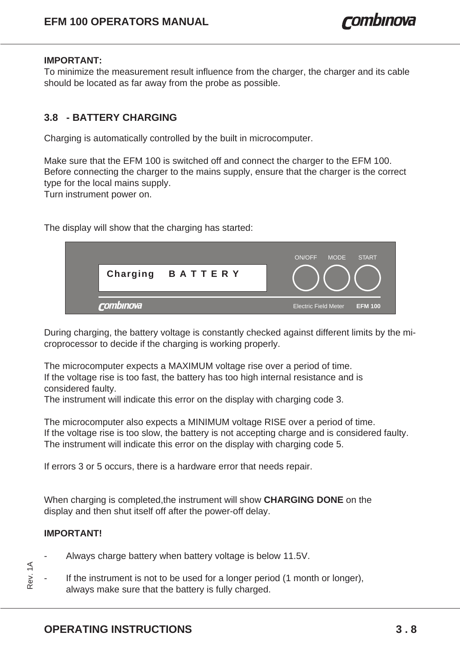#### **IMPORTANT:**

To minimize the measurement result influence from the charger, the charger and its cable should be located as far away from the probe as possible.

### **3.8 - BATTERY CHARGING**

Charging is automatically controlled by the built in microcomputer.

Make sure that the EFM 100 is switched off and connect the charger to the EFM 100. Before connecting the charger to the mains supply, ensure that the charger is the correct type for the local mains supply.

Turn instrument power on.

The display will show that the charging has started:

|                  | ON/OFF<br><b>MODE</b><br><b>START</b>         |
|------------------|-----------------------------------------------|
| Charging BATTERY |                                               |
| rombinova        | <b>Electric Field Meter</b><br><b>EFM 100</b> |

During charging, the battery voltage is constantly checked against different limits by the microprocessor to decide if the charging is working properly.

The microcomputer expects a MAXIMUM voltage rise over a period of time. If the voltage rise is too fast, the battery has too high internal resistance and is considered faulty.

The instrument will indicate this error on the display with charging code 3.

The microcomputer also expects a MINIMUM voltage RISE over a period of time. If the voltage rise is too slow, the battery is not accepting charge and is considered faulty. The instrument will indicate this error on the display with charging code 5.

If errors 3 or 5 occurs, there is a hardware error that needs repair.

When charging is completed,the instrument will show **CHARGING DONE** on the display and then shut itself off after the power-off delay.

#### **IMPORTANT!**

- Always charge battery when battery voltage is below 11.5V.
- If the instrument is not to be used for a longer period (1 month or longer), always make sure that the battery is fully charged. Rev. 1A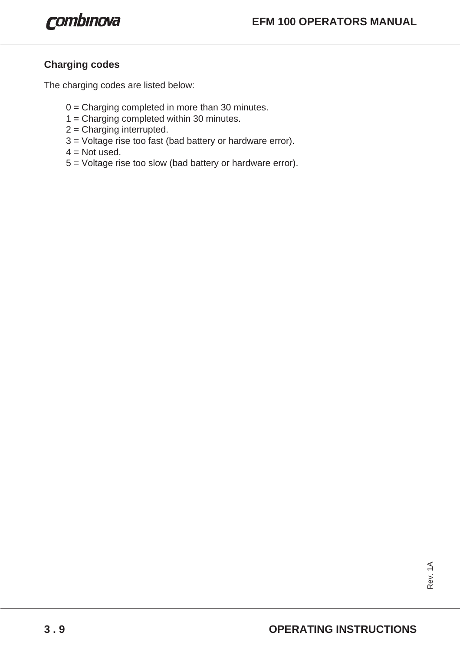## **Charging codes**

The charging codes are listed below:

- 0 = Charging completed in more than 30 minutes.
- 1 = Charging completed within 30 minutes.
- 2 = Charging interrupted.
- 3 = Voltage rise too fast (bad battery or hardware error).
- $4 = Not used.$
- 5 = Voltage rise too slow (bad battery or hardware error).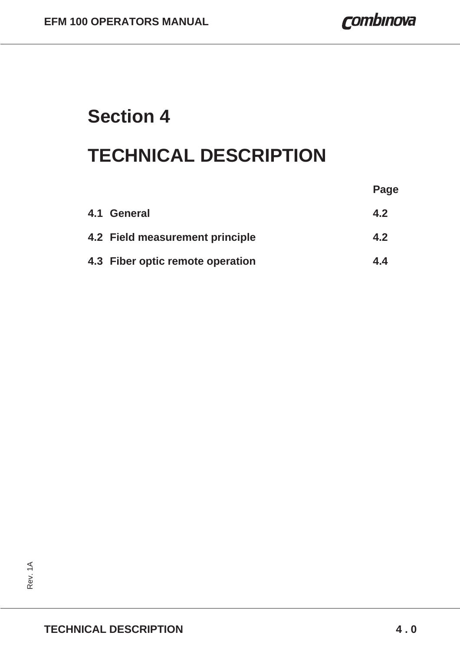combinova

# **Section 4**

# **TECHNICAL DESCRIPTION**

|                                  | Page |
|----------------------------------|------|
| 4.1 General                      | 4.2  |
| 4.2 Field measurement principle  | 4.2  |
| 4.3 Fiber optic remote operation | 4.4  |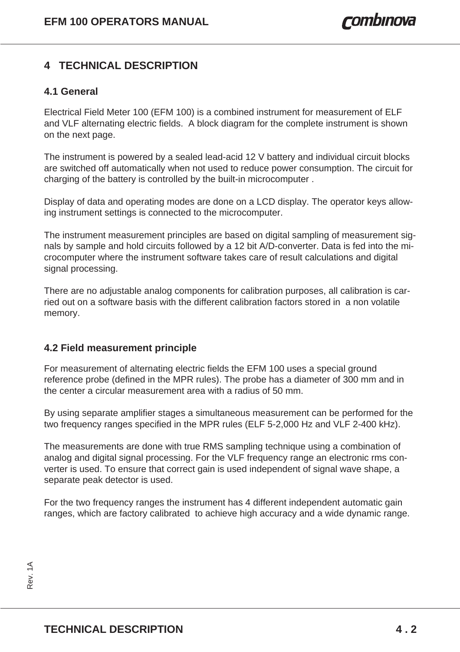# **4 TECHNICAL DESCRIPTION**

#### **4.1 General**

Electrical Field Meter 100 (EFM 100) is a combined instrument for measurement of ELF and VLF alternating electric fields. A block diagram for the complete instrument is shown on the next page.

The instrument is powered by a sealed lead-acid 12 V battery and individual circuit blocks are switched off automatically when not used to reduce power consumption. The circuit for charging of the battery is controlled by the built-in microcomputer .

Display of data and operating modes are done on a LCD display. The operator keys allowing instrument settings is connected to the microcomputer.

The instrument measurement principles are based on digital sampling of measurement signals by sample and hold circuits followed by a 12 bit A/D-converter. Data is fed into the microcomputer where the instrument software takes care of result calculations and digital signal processing.

There are no adjustable analog components for calibration purposes, all calibration is carried out on a software basis with the different calibration factors stored in a non volatile memory.

#### **4.2 Field measurement principle**

For measurement of alternating electric fields the EFM 100 uses a special ground reference probe (defined in the MPR rules). The probe has a diameter of 300 mm and in the center a circular measurement area with a radius of 50 mm.

By using separate amplifier stages a simultaneous measurement can be performed for the two frequency ranges specified in the MPR rules (ELF 5-2,000 Hz and VLF 2-400 kHz).

The measurements are done with true RMS sampling technique using a combination of analog and digital signal processing. For the VLF frequency range an electronic rms converter is used. To ensure that correct gain is used independent of signal wave shape, a separate peak detector is used.

For the two frequency ranges the instrument has 4 different independent automatic gain ranges, which are factory calibrated to achieve high accuracy and a wide dynamic range.

Rev. 1A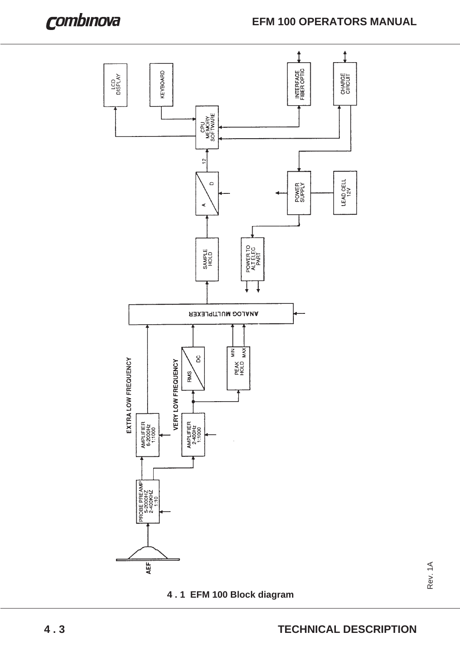

**4 . 1 EFM 100 Block diagram**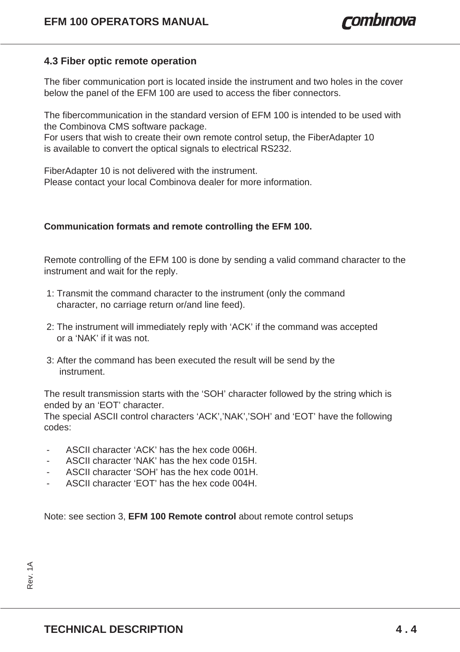#### **4.3 Fiber optic remote operation**

The fiber communication port is located inside the instrument and two holes in the cover below the panel of the EFM 100 are used to access the fiber connectors.

The fibercommunication in the standard version of EFM 100 is intended to be used with the Combinova CMS software package.

For users that wish to create their own remote control setup, the FiberAdapter 10 is available to convert the optical signals to electrical RS232.

FiberAdapter 10 is not delivered with the instrument. Please contact your local Combinova dealer for more information.

#### **Communication formats and remote controlling the EFM 100.**

Remote controlling of the EFM 100 is done by sending a valid command character to the instrument and wait for the reply.

- 1: Transmit the command character to the instrument (only the command character, no carriage return or/and line feed).
- 2: The instrument will immediately reply with 'ACK' if the command was accepted or a 'NAK' if it was not.
- 3: After the command has been executed the result will be send by the instrument.

The result transmission starts with the 'SOH' character followed by the string which is ended by an 'EOT' character.

The special ASCII control characters 'ACK','NAK','SOH' and 'EOT' have the following codes:

- ASCII character 'ACK' has the hex code 006H.
- ASCII character 'NAK' has the hex code 015H.
- ASCII character 'SOH' has the hex code 001H.
- ASCII character 'EOT' has the hex code 004H.

Note: see section 3, **EFM 100 Remote control** about remote control setups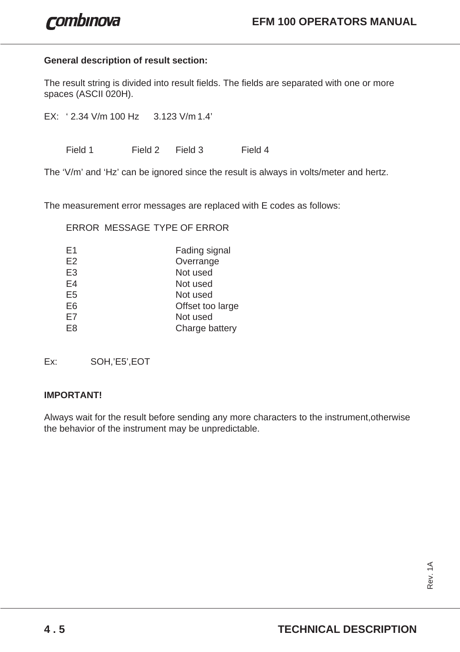#### **General description of result section:**

The result string is divided into result fields. The fields are separated with one or more spaces (ASCII 020H).

EX: ' 2.34 V/m 100 Hz 3.123 V/m 1.4'

Field 1 Field 2 Field 3 Field 4

The 'V/m' and 'Hz' can be ignored since the result is always in volts/meter and hertz.

The measurement error messages are replaced with E codes as follows:

ERROR MESSAGE TYPE OF ERROR

| E1             | Fading signal    |
|----------------|------------------|
| E2             | Overrange        |
| E <sub>3</sub> | Not used         |
| E4             | Not used         |
| E <sub>5</sub> | Not used         |
| E <sub>6</sub> | Offset too large |
| E7             | Not used         |
| E <sub>8</sub> | Charge battery   |

Ex: SOH,'E5',EOT

#### **IMPORTANT!**

Always wait for the result before sending any more characters to the instrument,otherwise the behavior of the instrument may be unpredictable.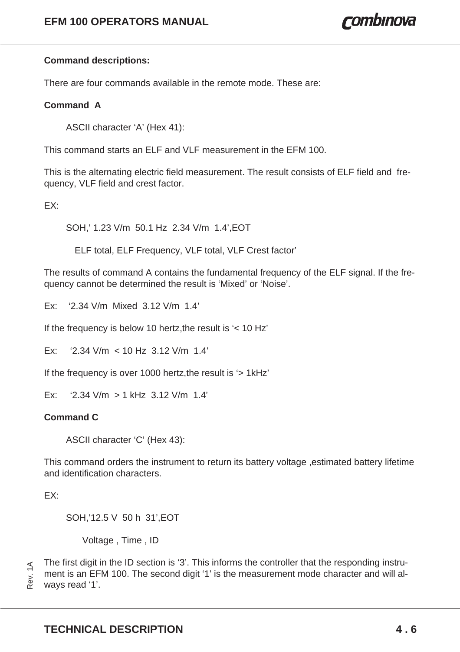#### **Command descriptions:**

There are four commands available in the remote mode. These are:

#### **Command A**

ASCII character 'A' (Hex 41):

This command starts an ELF and VLF measurement in the EFM 100.

This is the alternating electric field measurement. The result consists of ELF field and frequency, VLF field and crest factor.

EX:

SOH,' 1.23 V/m 50.1 Hz 2.34 V/m 1.4',EOT

ELF total, ELF Frequency, VLF total, VLF Crest factor'

The results of command A contains the fundamental frequency of the ELF signal. If the frequency cannot be determined the result is 'Mixed' or 'Noise'.

Ex: '2.34 V/m Mixed 3.12 V/m 1.4'

If the frequency is below 10 hertz,the result is '< 10 Hz'

 $Fx:$  '2.34 V/m  $<$  10 Hz 3.12 V/m 1.4'

If the frequency is over 1000 hertz,the result is '> 1kHz'

Ex: '2.34 V/m > 1 kHz 3.12 V/m 1.4'

#### **Command C**

ASCII character 'C' (Hex 43):

This command orders the instrument to return its battery voltage ,estimated battery lifetime and identification characters.

EX:

SOH,'12.5 V 50 h 31',EOT

Voltage , Time , ID

The first digit in the ID section is '3'. This informs the controller that the responding instrument is an EFM 100. The second digit '1' is the measurement mode character and will al-Rev. 1A ways read '1'.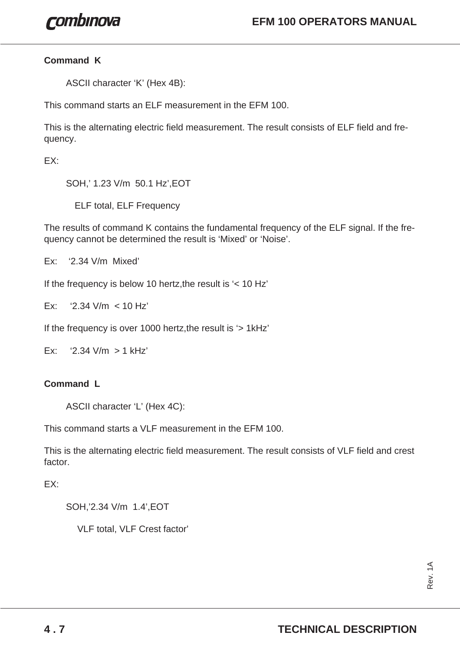#### **Command K**

ASCII character 'K' (Hex 4B):

This command starts an ELF measurement in the EFM 100.

This is the alternating electric field measurement. The result consists of ELF field and frequency.

EX:

SOH,' 1.23 V/m 50.1 Hz',EOT

ELF total, ELF Frequency

The results of command K contains the fundamental frequency of the ELF signal. If the frequency cannot be determined the result is 'Mixed' or 'Noise'.

Ex: '2.34 V/m Mixed'

If the frequency is below 10 hertz, the result is  $\leq$  10 Hz

Ex: '2.34 V/m < 10 Hz'

If the frequency is over 1000 hertz,the result is '> 1kHz'

Ex: '2.34  $V/m > 1$  kHz'

#### **Command L**

ASCII character 'L' (Hex 4C):

This command starts a VLF measurement in the FFM 100.

This is the alternating electric field measurement. The result consists of VLF field and crest factor.

EX:

SOH,'2.34 V/m 1.4',EOT

VLF total, VLF Crest factor'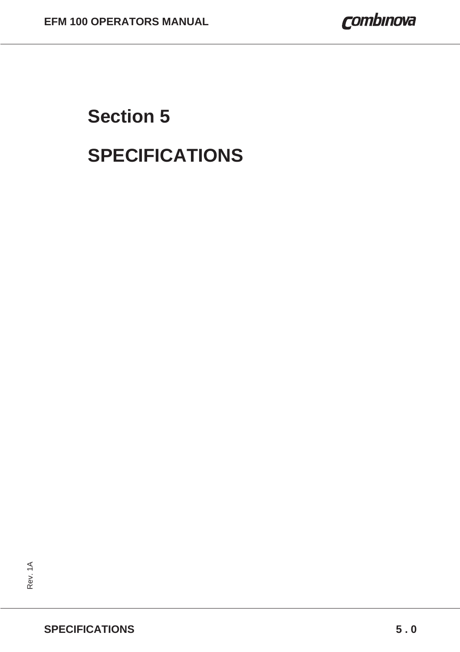# **Section 5 SPECIFICATIONS**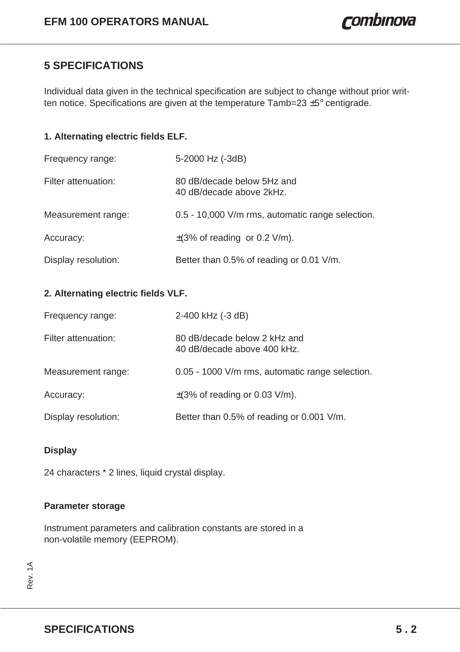# **5 SPECIFICATIONS**

Individual data given in the technical specification are subject to change without prior written notice. Specifications are given at the temperature Tamb=23 ±5° centigrade.

#### **1. Alternating electric fields ELF.**

| Frequency range:    | 5-2000 Hz (-3dB)                                       |
|---------------------|--------------------------------------------------------|
| Filter attenuation: | 80 dB/decade below 5Hz and<br>40 dB/decade above 2kHz. |
| Measurement range:  | 0.5 - 10,000 V/m rms, automatic range selection.       |
| Accuracy:           | $\pm$ (3% of reading or 0.2 V/m).                      |
| Display resolution: | Better than 0.5% of reading or 0.01 V/m.               |

#### **2. Alternating electric fields VLF.**

| Frequency range:    | 2-400 kHz (-3 dB)                                           |
|---------------------|-------------------------------------------------------------|
| Filter attenuation: | 80 dB/decade below 2 kHz and<br>40 dB/decade above 400 kHz. |
| Measurement range:  | 0.05 - 1000 V/m rms, automatic range selection.             |
| Accuracy:           | $\pm$ (3% of reading or 0.03 V/m).                          |
| Display resolution: | Better than 0.5% of reading or 0.001 V/m.                   |

#### **Display**

24 characters \* 2 lines, liquid crystal display.

#### **Parameter storage**

Instrument parameters and calibration constants are stored in a non-volatile memory (EEPROM).

Rev. 1A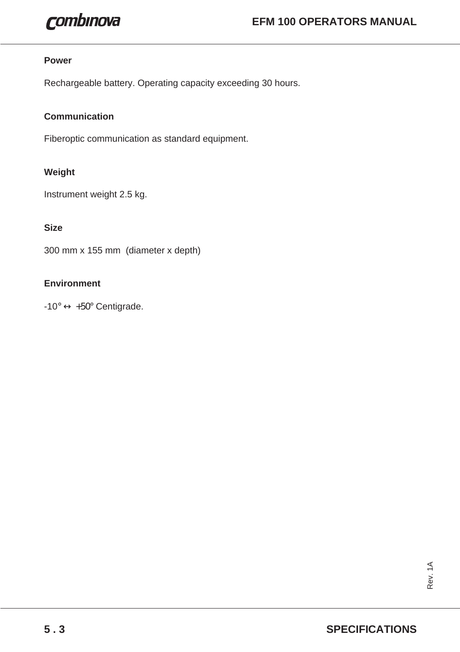

#### **Power**

Rechargeable battery. Operating capacity exceeding 30 hours.

#### **Communication**

Fiberoptic communication as standard equipment.

#### **Weight**

Instrument weight 2.5 kg.

#### **Size**

300 mm x 155 mm (diameter x depth)

#### **Environment**

 $-10^{\circ} \leftrightarrow +50^{\circ}$  Centigrade.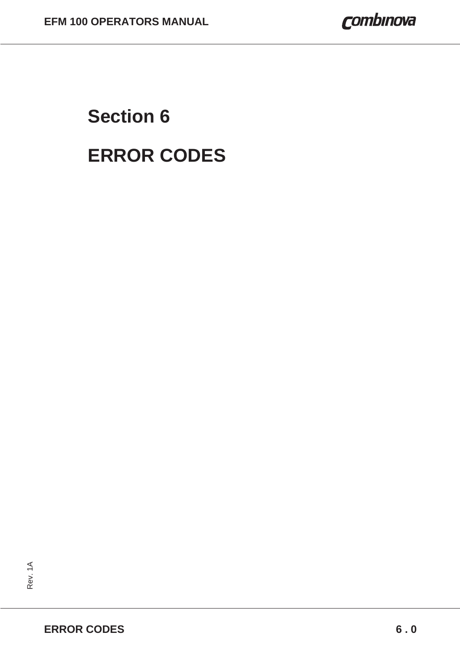# **Section 6 ERROR CODES**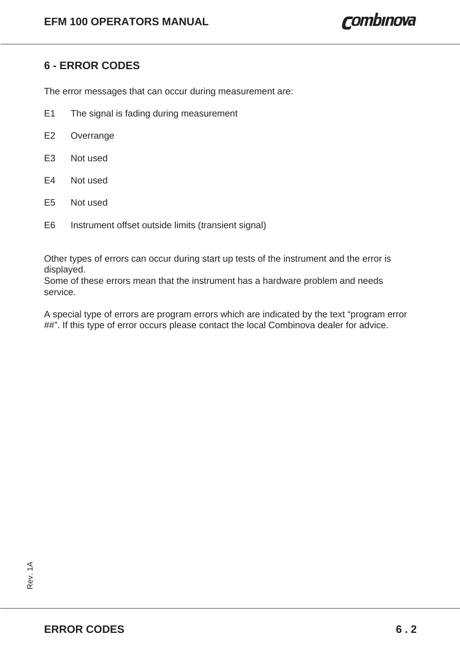# **6 - ERROR CODES**

The error messages that can occur during measurement are:

- E1 The signal is fading during measurement
- E2 Overrange
- E3 Not used
- E4 Not used
- E5 Not used
- E6 Instrument offset outside limits (transient signal)

Other types of errors can occur during start up tests of the instrument and the error is displayed.

Some of these errors mean that the instrument has a hardware problem and needs service.

A special type of errors are program errors which are indicated by the text "program error ##". If this type of error occurs please contact the local Combinova dealer for advice.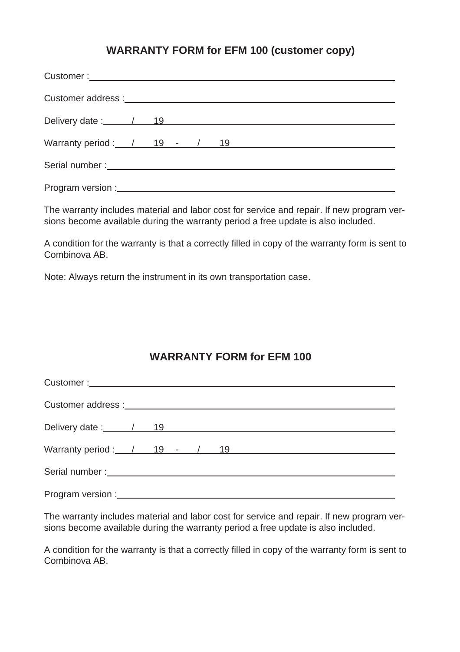# **WARRANTY FORM for EFM 100 (customer copy)**

| Warranty period: $\frac{1}{19}$ - $\frac{19}{19}$ - $\frac{19}{19}$ - $\frac{19}{19}$ - $\frac{19}{19}$ - $\frac{19}{19}$ - $\frac{19}{19}$ - $\frac{19}{19}$ - $\frac{19}{19}$ - $\frac{19}{19}$ - $\frac{19}{19}$ - $\frac{19}{19}$ - $\frac{19}{19}$ - $\frac{19}{19}$ - $\frac{19}{19$ |  |  |  |  |  |  |  |  |  |
|--------------------------------------------------------------------------------------------------------------------------------------------------------------------------------------------------------------------------------------------------------------------------------------------|--|--|--|--|--|--|--|--|--|
|                                                                                                                                                                                                                                                                                            |  |  |  |  |  |  |  |  |  |
|                                                                                                                                                                                                                                                                                            |  |  |  |  |  |  |  |  |  |

The warranty includes material and labor cost for service and repair. If new program versions become available during the warranty period a free update is also included.

A condition for the warranty is that a correctly filled in copy of the warranty form is sent to Combinova AB.

Note: Always return the instrument in its own transportation case.

### **WARRANTY FORM for EFM 100**

The warranty includes material and labor cost for service and repair. If new program versions become available during the warranty period a free update is also included.

A condition for the warranty is that a correctly filled in copy of the warranty form is sent to Combinova AB.